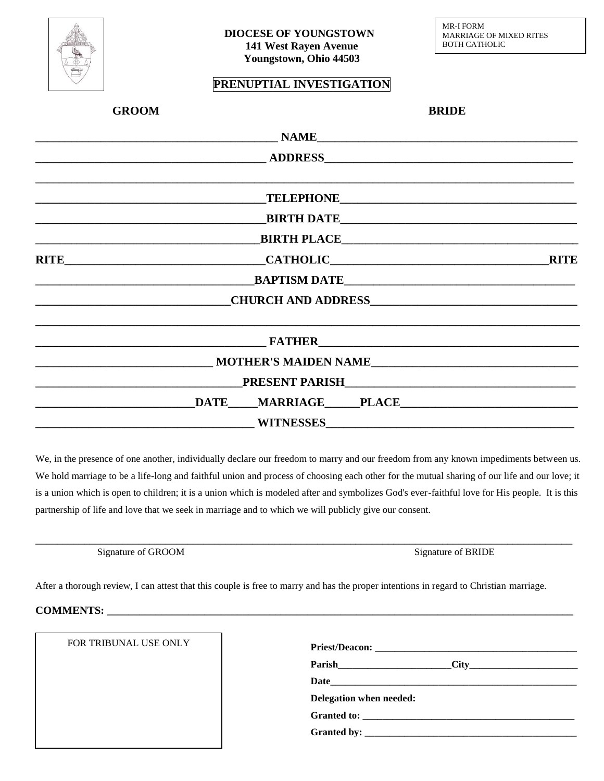

## **PRENUPTIAL INVESTIGATION**

| <b>GROOM</b>                                                                                                          |                     | <b>BRIDE</b> |  |
|-----------------------------------------------------------------------------------------------------------------------|---------------------|--------------|--|
|                                                                                                                       |                     |              |  |
| <u> 1989 - Johann Barn, fransk politik amerikansk politik (</u>                                                       |                     |              |  |
|                                                                                                                       |                     |              |  |
|                                                                                                                       |                     |              |  |
|                                                                                                                       |                     |              |  |
|                                                                                                                       |                     |              |  |
| <b>EXAPTISM DATE</b>                                                                                                  |                     |              |  |
| <u> 2002 - Jan Barbara Barbara, prima prima prima prima prima prima prima prima prima prima prima prima prima pri</u> |                     |              |  |
| ,我们也不能会在这里,我们的人们就会不能会在这里,我们也不能会不能会不能会不能会不能会不能会不能会不能会。""我们的人们就会不能会不能会不能会不能会不能会不能会                                      |                     |              |  |
| MOTHER'S MAIDEN NAME                                                                                                  |                     |              |  |
|                                                                                                                       |                     |              |  |
|                                                                                                                       | DATE MARRIAGE PLACE |              |  |
|                                                                                                                       |                     |              |  |

We, in the presence of one another, individually declare our freedom to marry and our freedom from any known impediments between us. We hold marriage to be a life-long and faithful union and process of choosing each other for the mutual sharing of our life and our love; it is a union which is open to children; it is a union which is modeled after and symbolizes God's ever-faithful love for His people. It is this partnership of life and love that we seek in marriage and to which we will publicly give our consent.

| K) M         | 8 R I I DH      |
|--------------|-----------------|
| signature of | <b>ionature</b> |
| Ήт           | кк              |
| ΜI           | $\cdots$        |
|              |                 |
| $\sim$       |                 |

After a thorough review, I can attest that this couple is free to marry and has the proper intentions in regard to Christian marriage.

#### **COMMENTS: \_\_\_\_\_\_\_\_\_\_\_\_\_\_\_\_\_\_\_\_\_\_\_\_\_\_\_\_\_\_\_\_\_\_\_\_\_\_\_\_\_\_\_\_\_\_\_\_\_\_\_\_\_\_\_\_\_\_\_\_\_\_\_\_\_\_\_\_\_\_\_\_\_\_\_\_\_\_\_\_\_\_\_\_\_\_**

| FOR TRIBUNAL USE ONLY |                         |
|-----------------------|-------------------------|
|                       |                         |
|                       |                         |
|                       | Delegation when needed: |
|                       | Granted to:             |
|                       |                         |
|                       |                         |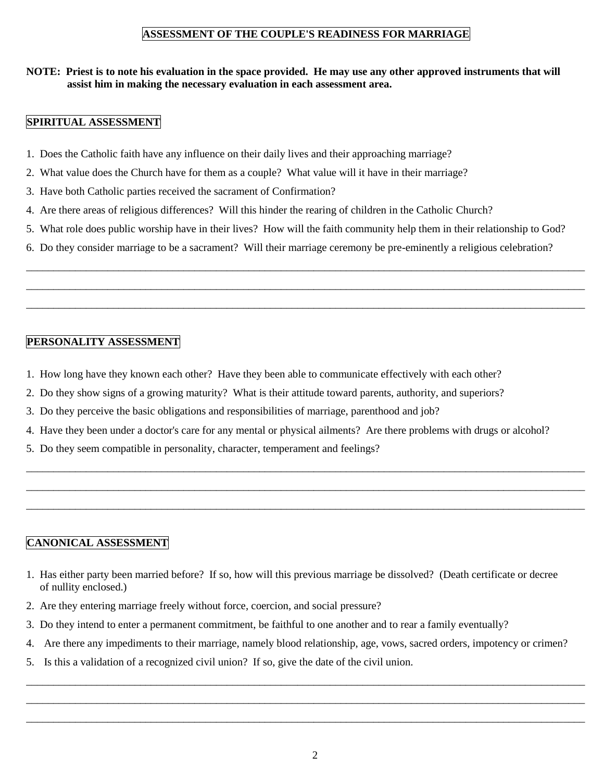## **ASSESSMENT OF THE COUPLE'S READINESS FOR MARRIAGE**

### **NOTE: Priest is to note his evaluation in the space provided. He may use any other approved instruments that will assist him in making the necessary evaluation in each assessment area.**

### **SPIRITUAL ASSESSMENT**

- 1. Does the Catholic faith have any influence on their daily lives and their approaching marriage?
- 2. What value does the Church have for them as a couple? What value will it have in their marriage?
- 3. Have both Catholic parties received the sacrament of Confirmation?
- 4. Are there areas of religious differences? Will this hinder the rearing of children in the Catholic Church?
- 5. What role does public worship have in their lives? How will the faith community help them in their relationship to God?

\_\_\_\_\_\_\_\_\_\_\_\_\_\_\_\_\_\_\_\_\_\_\_\_\_\_\_\_\_\_\_\_\_\_\_\_\_\_\_\_\_\_\_\_\_\_\_\_\_\_\_\_\_\_\_\_\_\_\_\_\_\_\_\_\_\_\_\_\_\_\_\_\_\_\_\_\_\_\_\_\_\_\_\_\_\_\_\_\_\_\_\_\_\_\_\_\_\_\_\_\_\_\_ \_\_\_\_\_\_\_\_\_\_\_\_\_\_\_\_\_\_\_\_\_\_\_\_\_\_\_\_\_\_\_\_\_\_\_\_\_\_\_\_\_\_\_\_\_\_\_\_\_\_\_\_\_\_\_\_\_\_\_\_\_\_\_\_\_\_\_\_\_\_\_\_\_\_\_\_\_\_\_\_\_\_\_\_\_\_\_\_\_\_\_\_\_\_\_\_\_\_\_\_\_\_\_ \_\_\_\_\_\_\_\_\_\_\_\_\_\_\_\_\_\_\_\_\_\_\_\_\_\_\_\_\_\_\_\_\_\_\_\_\_\_\_\_\_\_\_\_\_\_\_\_\_\_\_\_\_\_\_\_\_\_\_\_\_\_\_\_\_\_\_\_\_\_\_\_\_\_\_\_\_\_\_\_\_\_\_\_\_\_\_\_\_\_\_\_\_\_\_\_\_\_\_\_\_\_\_

6. Do they consider marriage to be a sacrament? Will their marriage ceremony be pre-eminently a religious celebration?

#### **PERSONALITY ASSESSMENT**

- 1. How long have they known each other? Have they been able to communicate effectively with each other?
- 2. Do they show signs of a growing maturity? What is their attitude toward parents, authority, and superiors?
- 3. Do they perceive the basic obligations and responsibilities of marriage, parenthood and job?
- 4. Have they been under a doctor's care for any mental or physical ailments? Are there problems with drugs or alcohol?

\_\_\_\_\_\_\_\_\_\_\_\_\_\_\_\_\_\_\_\_\_\_\_\_\_\_\_\_\_\_\_\_\_\_\_\_\_\_\_\_\_\_\_\_\_\_\_\_\_\_\_\_\_\_\_\_\_\_\_\_\_\_\_\_\_\_\_\_\_\_\_\_\_\_\_\_\_\_\_\_\_\_\_\_\_\_\_\_\_\_\_\_\_\_\_\_\_\_\_\_\_\_\_ \_\_\_\_\_\_\_\_\_\_\_\_\_\_\_\_\_\_\_\_\_\_\_\_\_\_\_\_\_\_\_\_\_\_\_\_\_\_\_\_\_\_\_\_\_\_\_\_\_\_\_\_\_\_\_\_\_\_\_\_\_\_\_\_\_\_\_\_\_\_\_\_\_\_\_\_\_\_\_\_\_\_\_\_\_\_\_\_\_\_\_\_\_\_\_\_\_\_\_\_\_\_\_ \_\_\_\_\_\_\_\_\_\_\_\_\_\_\_\_\_\_\_\_\_\_\_\_\_\_\_\_\_\_\_\_\_\_\_\_\_\_\_\_\_\_\_\_\_\_\_\_\_\_\_\_\_\_\_\_\_\_\_\_\_\_\_\_\_\_\_\_\_\_\_\_\_\_\_\_\_\_\_\_\_\_\_\_\_\_\_\_\_\_\_\_\_\_\_\_\_\_\_\_\_\_\_

5. Do they seem compatible in personality, character, temperament and feelings?

#### **CANONICAL ASSESSMENT**

- 1. Has either party been married before? If so, how will this previous marriage be dissolved? (Death certificate or decree of nullity enclosed.)
- 2. Are they entering marriage freely without force, coercion, and social pressure?
- 3. Do they intend to enter a permanent commitment, be faithful to one another and to rear a family eventually?
- 4. Are there any impediments to their marriage, namely blood relationship, age, vows, sacred orders, impotency or crimen?

\_\_\_\_\_\_\_\_\_\_\_\_\_\_\_\_\_\_\_\_\_\_\_\_\_\_\_\_\_\_\_\_\_\_\_\_\_\_\_\_\_\_\_\_\_\_\_\_\_\_\_\_\_\_\_\_\_\_\_\_\_\_\_\_\_\_\_\_\_\_\_\_\_\_\_\_\_\_\_\_\_\_\_\_\_\_\_\_\_\_\_\_\_\_\_\_\_\_\_\_\_\_\_ \_\_\_\_\_\_\_\_\_\_\_\_\_\_\_\_\_\_\_\_\_\_\_\_\_\_\_\_\_\_\_\_\_\_\_\_\_\_\_\_\_\_\_\_\_\_\_\_\_\_\_\_\_\_\_\_\_\_\_\_\_\_\_\_\_\_\_\_\_\_\_\_\_\_\_\_\_\_\_\_\_\_\_\_\_\_\_\_\_\_\_\_\_\_\_\_\_\_\_\_\_\_\_ \_\_\_\_\_\_\_\_\_\_\_\_\_\_\_\_\_\_\_\_\_\_\_\_\_\_\_\_\_\_\_\_\_\_\_\_\_\_\_\_\_\_\_\_\_\_\_\_\_\_\_\_\_\_\_\_\_\_\_\_\_\_\_\_\_\_\_\_\_\_\_\_\_\_\_\_\_\_\_\_\_\_\_\_\_\_\_\_\_\_\_\_\_\_\_\_\_\_\_\_\_\_\_

5. Is this a validation of a recognized civil union? If so, give the date of the civil union.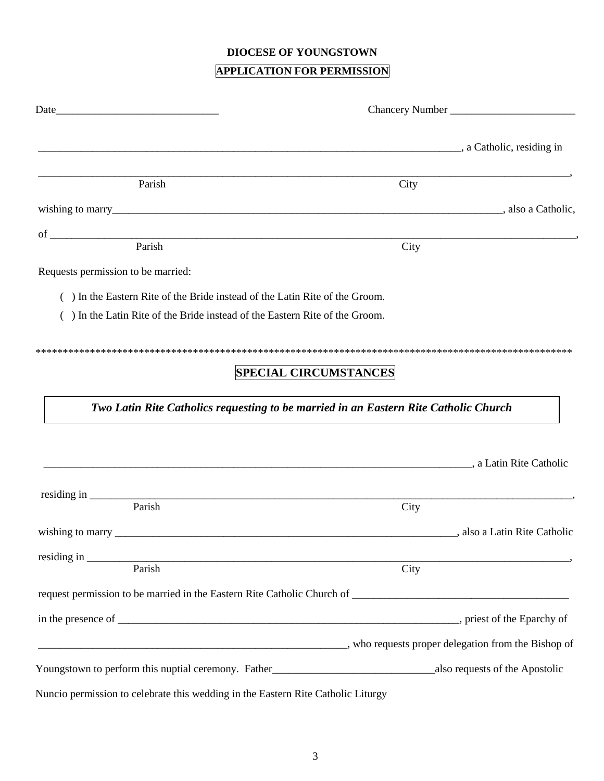## **DIOCESE OF YOUNGSTOWN**

# **APPLICATION FOR PERMISSION**

| a Catholic, residing in a carbon and the same contract of the same contract of the same contract of the same contract of the same contract of the same contract of the same contract of the same contract of the same contract |      |                               |  |
|--------------------------------------------------------------------------------------------------------------------------------------------------------------------------------------------------------------------------------|------|-------------------------------|--|
| Parish                                                                                                                                                                                                                         | City |                               |  |
|                                                                                                                                                                                                                                |      |                               |  |
|                                                                                                                                                                                                                                |      |                               |  |
|                                                                                                                                                                                                                                | City |                               |  |
| Requests permission to be married:                                                                                                                                                                                             |      |                               |  |
| () In the Eastern Rite of the Bride instead of the Latin Rite of the Groom.                                                                                                                                                    |      |                               |  |
| () In the Latin Rite of the Bride instead of the Eastern Rite of the Groom.                                                                                                                                                    |      |                               |  |
|                                                                                                                                                                                                                                |      |                               |  |
| <b>SPECIAL CIRCUMSTANCES</b>                                                                                                                                                                                                   |      |                               |  |
|                                                                                                                                                                                                                                |      |                               |  |
| Two Latin Rite Catholics requesting to be married in an Eastern Rite Catholic Church                                                                                                                                           |      |                               |  |
|                                                                                                                                                                                                                                |      |                               |  |
|                                                                                                                                                                                                                                |      |                               |  |
| a Latin Rite Catholic, a Latin Rite Catholic                                                                                                                                                                                   |      |                               |  |
| residing in Parish                                                                                                                                                                                                             |      |                               |  |
|                                                                                                                                                                                                                                | City |                               |  |
| wishing to marry _______                                                                                                                                                                                                       |      | strated a Latin Rite Catholic |  |
|                                                                                                                                                                                                                                |      |                               |  |
| Parish                                                                                                                                                                                                                         | City |                               |  |
|                                                                                                                                                                                                                                |      |                               |  |
|                                                                                                                                                                                                                                |      |                               |  |
| who requests proper delegation from the Bishop of                                                                                                                                                                              |      |                               |  |
|                                                                                                                                                                                                                                |      |                               |  |
| Nuncio permission to celebrate this wedding in the Eastern Rite Catholic Liturgy                                                                                                                                               |      |                               |  |